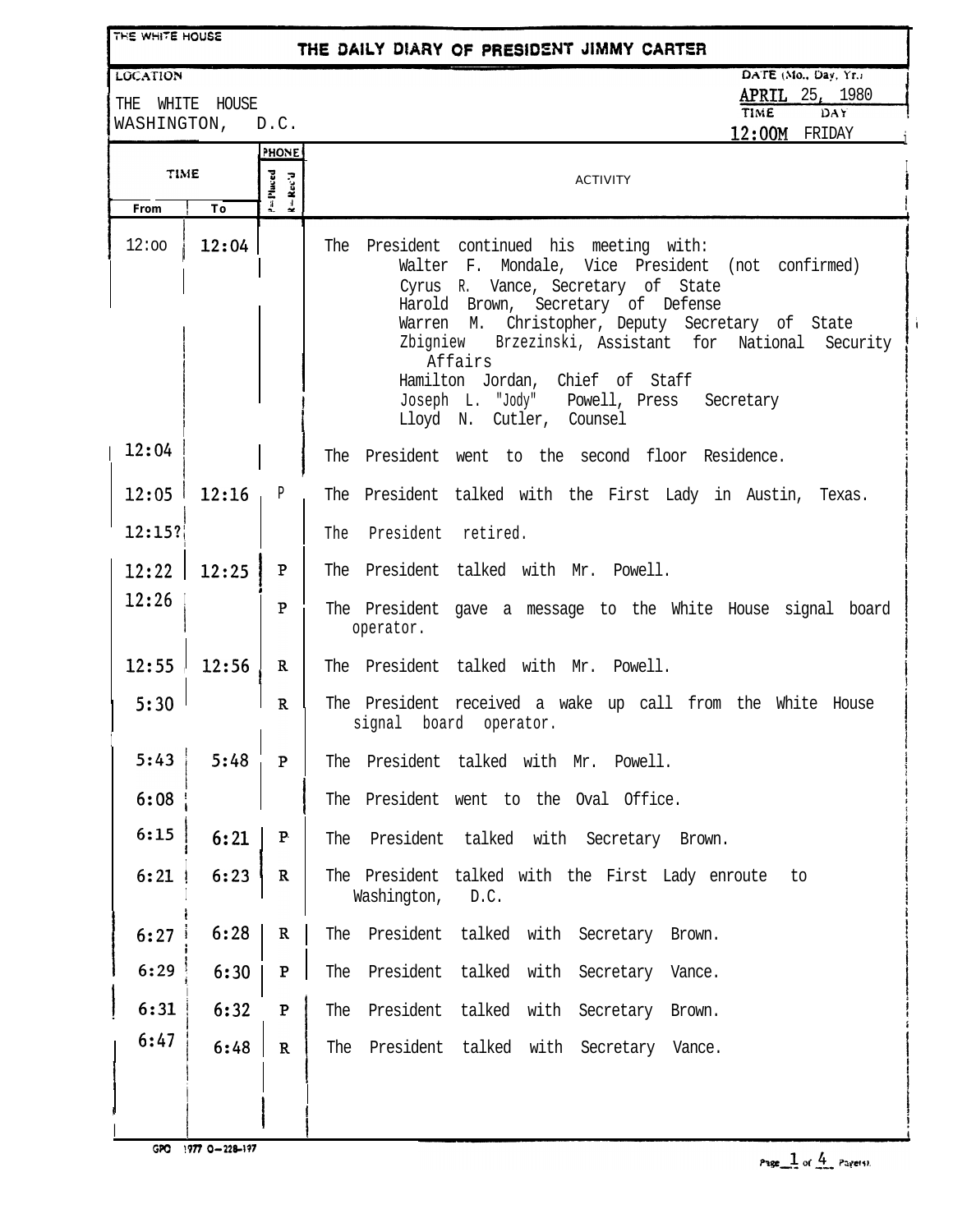| THE WHITE HOUSE  |             |                                                             | THE DAILY DIARY OF PRESIDENT JIMMY CARTER                                            |
|------------------|-------------|-------------------------------------------------------------|--------------------------------------------------------------------------------------|
| <b>LOCATION</b>  |             |                                                             | DATE (Mo., Day, Yr.)                                                                 |
| THE              | WHITE HOUSE |                                                             | <b>APRIL</b> 25, 1980<br><b>TIME</b><br>DAY                                          |
| WASHINGTON, D.C. |             |                                                             | 12:00M FRIDAY                                                                        |
|                  |             | PHONE                                                       |                                                                                      |
| TIME<br>P=Placed |             | $\mathbf{R} = \mathbf{R} \mathbf{c} \mathbf{c}' \mathbf{d}$ | <b>ACTIVITY</b>                                                                      |
| From             | To          |                                                             |                                                                                      |
| 12:00            | 12:04       |                                                             | President continued his meeting with:<br>The                                         |
|                  |             |                                                             | Walter F. Mondale, Vice President (not confirmed)                                    |
|                  |             |                                                             | Cyrus R. Vance, Secretary of State<br>Harold Brown, Secretary of Defense             |
|                  |             |                                                             | Warren M. Christopher, Deputy Secretary of State                                     |
|                  |             |                                                             | Zbigniew Brzezinski, Assistant for National<br>Security<br>Affairs                   |
|                  |             |                                                             | Hamilton Jordan, Chief of Staff                                                      |
|                  |             |                                                             | Joseph L. "Jody" Powell, Press Secretary                                             |
|                  |             |                                                             | Lloyd N. Cutler, Counsel                                                             |
| 12:04            |             |                                                             | The President went to the second floor Residence.                                    |
| 12:05            | 12:16       | P                                                           | The President talked with the First Lady in Austin, Texas.                           |
| 12:15?           |             |                                                             | President retired.<br>The                                                            |
| 12:22            | 12:25       | P                                                           | The President talked with Mr. Powell.                                                |
| 12:26            |             | P                                                           | The President gave a message to the White House signal board<br>operator.            |
| 12:55            | 12:56       | $\mathbf R$                                                 | The President talked with Mr. Powell.                                                |
| 5:30             |             | R                                                           | The President received a wake up call from the White House<br>signal board operator. |
| 5:43             | 5:48        | $\mathbf{P}$                                                | The President talked with Mr. Powell.                                                |
| 6:08             |             |                                                             | The President went to the Oval Office.                                               |
| 6:15             | 6:21        | P                                                           | President talked with Secretary Brown.<br>The                                        |
| 6:21             | 6:23        | $\mathbf R$                                                 | The President talked with the First Lady enroute to<br>Washington, D.C.              |
| 6:27             | 6:28        | $\mathbf R$                                                 | President talked with Secretary Brown.<br>The                                        |
| 6:29             | 6:30        | $\mathbf{P}$                                                | President talked with Secretary Vance.<br>The                                        |
| 6:31             | 6:32        | $\mathbf P$                                                 | President talked with Secretary Brown.<br>The                                        |
| 6:47             | 6:48        | $\mathbf{R}$                                                | President talked with Secretary Vance.<br>The                                        |
|                  |             |                                                             |                                                                                      |
|                  |             |                                                             |                                                                                      |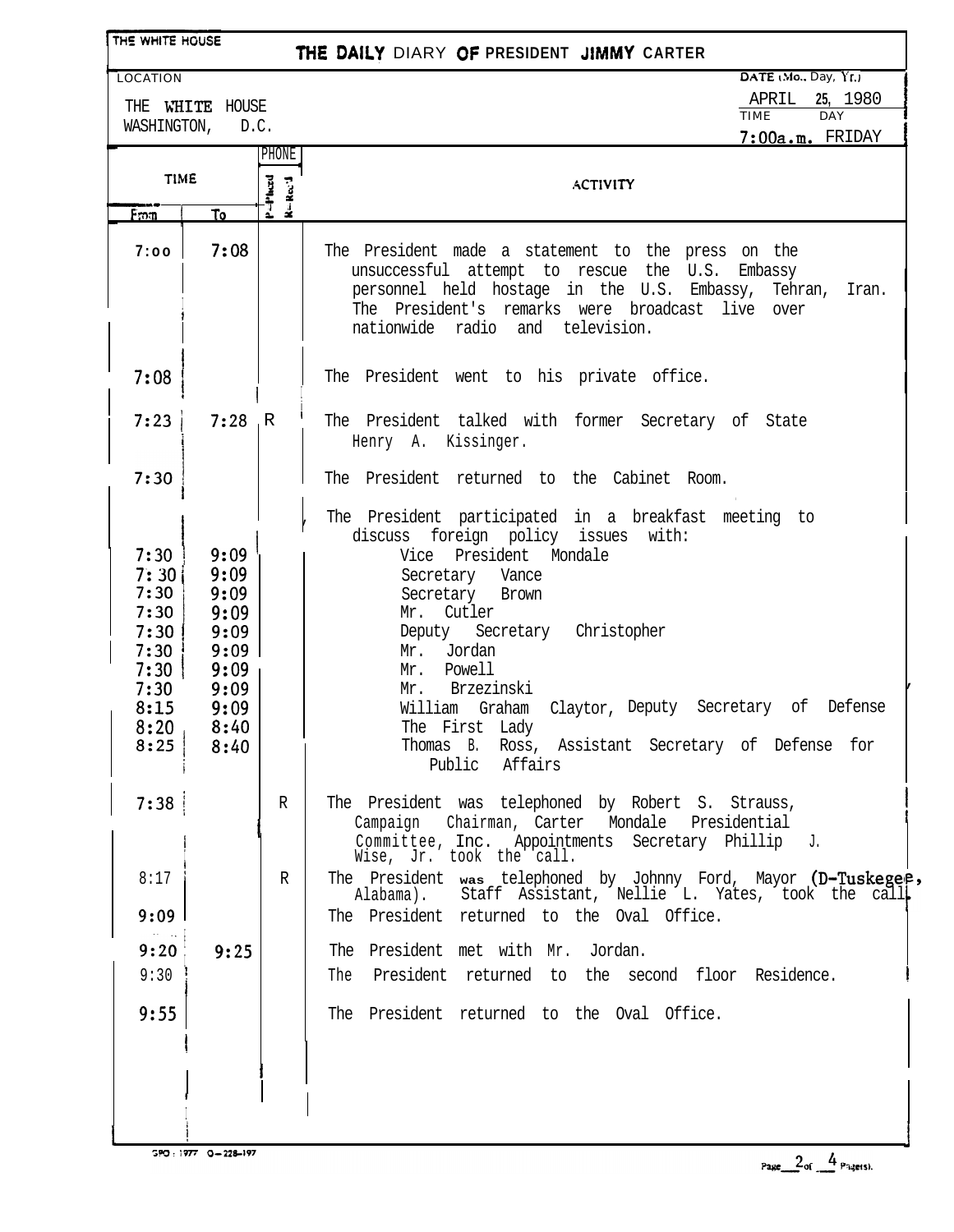| THE WHITE HOUSE                                                                      |                                                                                      |                              | THE DAILY DIARY OF PRESIDENT JIMMY CARTER                                                                                                                                                                                                                                                                                                                                                                         |
|--------------------------------------------------------------------------------------|--------------------------------------------------------------------------------------|------------------------------|-------------------------------------------------------------------------------------------------------------------------------------------------------------------------------------------------------------------------------------------------------------------------------------------------------------------------------------------------------------------------------------------------------------------|
| <b>LOCATION</b>                                                                      |                                                                                      |                              | DATE (Mo., Day, Yr.)                                                                                                                                                                                                                                                                                                                                                                                              |
| THE WHITE HOUSE                                                                      |                                                                                      |                              | APRIL<br>25, 1980<br><b>TIME</b><br><b>DAY</b>                                                                                                                                                                                                                                                                                                                                                                    |
|                                                                                      | WASHINGTON, D.C.                                                                     |                              | 7:00a.m. FRIDAY                                                                                                                                                                                                                                                                                                                                                                                                   |
|                                                                                      |                                                                                      | PHONE                        |                                                                                                                                                                                                                                                                                                                                                                                                                   |
| <b>TIME</b>                                                                          |                                                                                      | $P = P$ heed<br>$\mathbf{k}$ | <b>ACTIVITY</b>                                                                                                                                                                                                                                                                                                                                                                                                   |
| From                                                                                 | To                                                                                   | ∫.                           |                                                                                                                                                                                                                                                                                                                                                                                                                   |
| 7:00                                                                                 | 7:08                                                                                 |                              | The President made a statement to the press on the<br>unsuccessful attempt to rescue the U.S.<br>Embassy<br>personnel held hostage in the U.S. Embassy, Tehran,<br>Iran.<br>The President's remarks were broadcast live over<br>nationwide radio<br>and television.                                                                                                                                               |
| 7:08                                                                                 |                                                                                      |                              | The President went to his private office.                                                                                                                                                                                                                                                                                                                                                                         |
| 7:23                                                                                 | $7:28$ R                                                                             |                              | The President talked with former Secretary of State<br>Henry A. Kissinger.                                                                                                                                                                                                                                                                                                                                        |
| 7:30                                                                                 |                                                                                      |                              | The President returned to the Cabinet Room.                                                                                                                                                                                                                                                                                                                                                                       |
| 7:30<br>7:30<br>7:30<br>7:30<br>7:30<br>7:30<br>7:30<br>7:30<br>8:15<br>8:20<br>8:25 | 9:09<br>9:09<br>9:09<br>9:09<br>9:09<br>9:09<br>9:09<br>9:09<br>9:09<br>8:40<br>8:40 |                              | The President participated in a breakfast meeting to<br>discuss foreign policy issues<br>with:<br>Vice President Mondale<br>Secretary Vance<br>Secretary Brown<br>Mr. Cutler<br>Deputy Secretary Christopher<br>Mr. Jordan<br>Mr. Powell<br>Mr. Brzezinski<br>William Graham Claytor, Deputy Secretary of Defense<br>The First Lady<br>Thomas B.<br>Ross, Assistant Secretary of Defense for<br>Affairs<br>Public |
| 7:38                                                                                 |                                                                                      | R                            | The President was telephoned by Robert S. Strauss,<br>Campaign Chairman, Carter Mondale<br>Presidential<br>Committee, Inc. Appointments Secretary Phillip J.<br>Wise, Jr. took the call.                                                                                                                                                                                                                          |
| 8:17                                                                                 |                                                                                      | R                            | The President was telephoned by Johnny Ford, Mayor (D-Tuskegee,<br>Alabama). Staff Assistant, Nellie L. Yates, took the call                                                                                                                                                                                                                                                                                      |
| 9:09                                                                                 |                                                                                      |                              | The President returned to the Oval Office.                                                                                                                                                                                                                                                                                                                                                                        |
| 9:20                                                                                 | 9:25                                                                                 |                              | The President met with Mr. Jordan.                                                                                                                                                                                                                                                                                                                                                                                |
| 9:30                                                                                 |                                                                                      |                              | The President returned to the second floor Residence.                                                                                                                                                                                                                                                                                                                                                             |
| 9:55                                                                                 |                                                                                      |                              | The President returned to the Oval Office.                                                                                                                                                                                                                                                                                                                                                                        |
|                                                                                      |                                                                                      |                              |                                                                                                                                                                                                                                                                                                                                                                                                                   |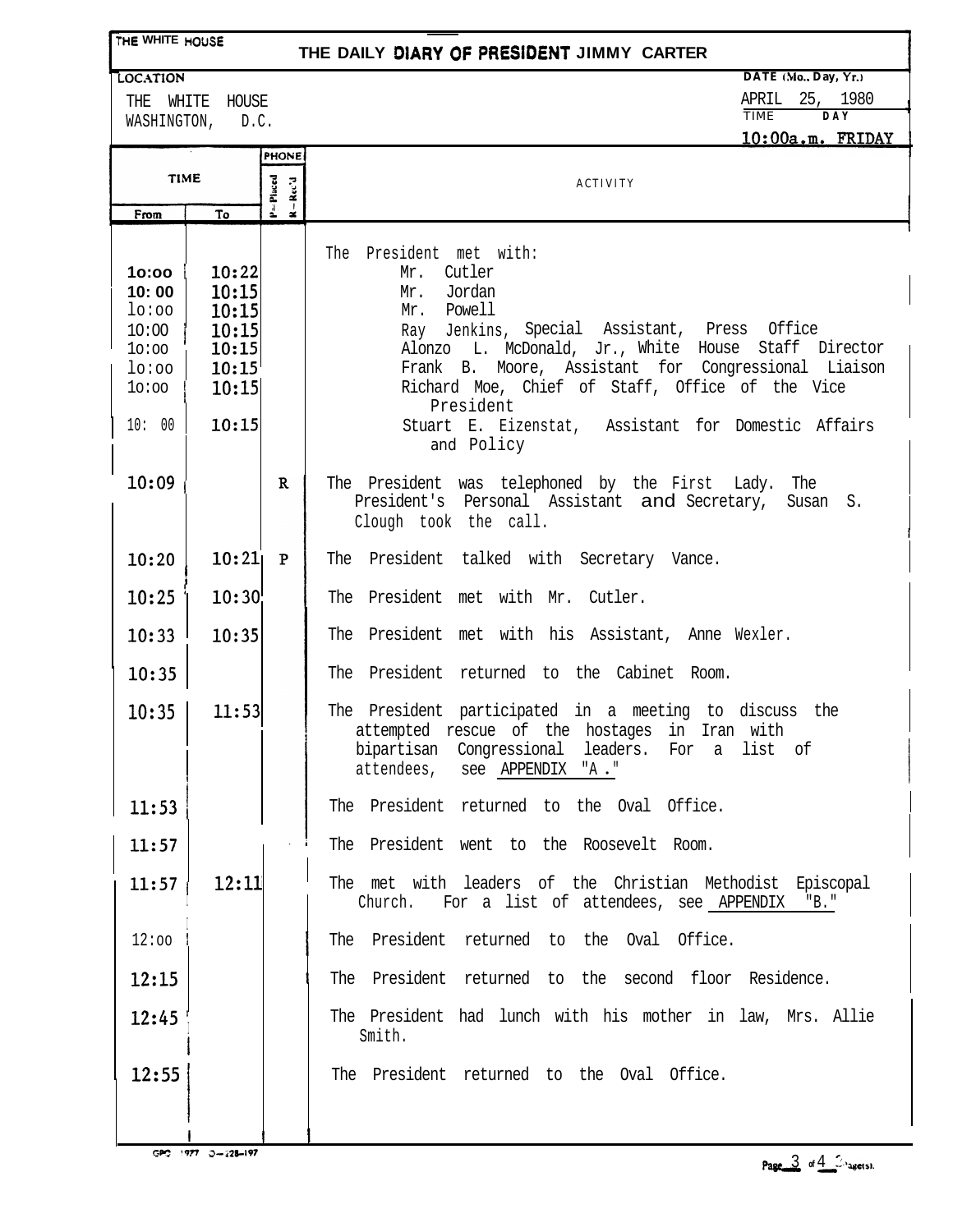## **TtiE WHITE HOUSE**

## **THE DAILY DIARY OF PRESIDENT JIMMY CARTER**

LOCATION

THE WHITE HOUSE WASHINGTON, D.C. **DATE** (Mo., Day, Yr.)

APRIL 25, 1980

TIME **DAY**

 $10.00$ 

|                                                                       |                                                                      | <b>PHONE</b>                 | $10:00a.m.$ FRIDAY                                                                                                                                                                                                                                                                                                                                                      |
|-----------------------------------------------------------------------|----------------------------------------------------------------------|------------------------------|-------------------------------------------------------------------------------------------------------------------------------------------------------------------------------------------------------------------------------------------------------------------------------------------------------------------------------------------------------------------------|
| <b>TIME</b>                                                           |                                                                      |                              |                                                                                                                                                                                                                                                                                                                                                                         |
|                                                                       |                                                                      | $P = P$ laced<br>$R - Rec'd$ | <b>ACTIVITY</b>                                                                                                                                                                                                                                                                                                                                                         |
| From                                                                  | To                                                                   |                              |                                                                                                                                                                                                                                                                                                                                                                         |
| 10:00<br>10:00<br>lo:oo<br>10:00<br>10:00<br>lo:oo<br>10:00<br>10: 00 | 10:22<br>10:15<br>10:15<br>10:15<br>10:15<br>10:15<br>10:15<br>10:15 |                              | The President met with:<br>Mr. Cutler<br>Jordan<br>Mr.<br>Mr. Powell<br>Ray Jenkins, Special Assistant, Press Office<br>Alonzo L. McDonald, Jr., White House Staff Director<br>Frank B. Moore, Assistant for Congressional Liaison<br>Richard Moe, Chief of Staff, Office of the Vice<br>President<br>Stuart E. Eizenstat, Assistant for Domestic Affairs<br>and Policy |
| 10:09                                                                 |                                                                      | $\mathbf{R}$                 | The President was telephoned by the First Lady.<br>The<br>President's Personal Assistant and Secretary,<br>Susan S.<br>Clough took the call.                                                                                                                                                                                                                            |
| 10:20                                                                 | 10:21                                                                | $\mathbf{P}$                 | The President talked with Secretary Vance.                                                                                                                                                                                                                                                                                                                              |
| 10:25                                                                 | 10:30                                                                |                              | The President met with Mr. Cutler.                                                                                                                                                                                                                                                                                                                                      |
| 10:33                                                                 | 10:35                                                                |                              | The President met with his Assistant, Anne Wexler.                                                                                                                                                                                                                                                                                                                      |
| 10:35                                                                 |                                                                      |                              | The President returned to the Cabinet Room.                                                                                                                                                                                                                                                                                                                             |
| 10:35                                                                 | 11:53                                                                |                              | The President participated in a meeting to discuss the<br>attempted rescue of the hostages in Iran with<br>bipartisan Congressional leaders. For a list of<br>attendees, see APPENDIX "A."                                                                                                                                                                              |
| 11:53                                                                 |                                                                      |                              | The President returned to the Oval Office.                                                                                                                                                                                                                                                                                                                              |
| 11:57                                                                 |                                                                      |                              | The President went to the Roosevelt Room.                                                                                                                                                                                                                                                                                                                               |
| 11:57                                                                 | 12:11                                                                |                              | The met with leaders of the Christian Methodist Episcopal<br>Church.<br>For a list of attendees, see APPENDIX "B."                                                                                                                                                                                                                                                      |
| 12:00                                                                 |                                                                      |                              | The President returned to the Oval Office.                                                                                                                                                                                                                                                                                                                              |
| 12:15                                                                 |                                                                      |                              | The President returned to the second floor Residence.                                                                                                                                                                                                                                                                                                                   |
| 12:45                                                                 |                                                                      |                              | The President had lunch with his mother in law, Mrs. Allie<br>Smith.                                                                                                                                                                                                                                                                                                    |
| 12:55                                                                 |                                                                      |                              | The President returned to the Oval Office.                                                                                                                                                                                                                                                                                                                              |